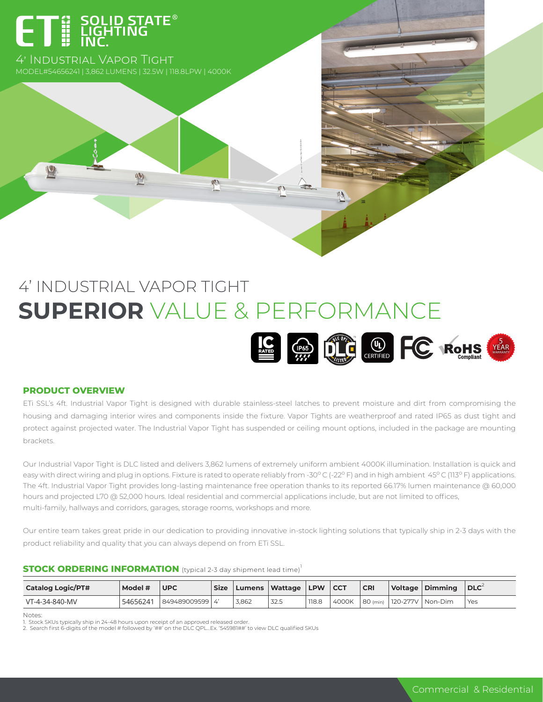# ET E SOLID STATE<sup>®</sup>

4' Industrial Vapor Tight MODEL#54656241 | 3,862 LUMENS | 32.5W | 118.8LPW | 4000K

 $\ket{V}$ 

# 4' INDUSTRIAL VAPOR TIGHT **SUPERIOR** VALUE & PERFORMANCE



#### **PRODUCT OVERVIEW**

 $|\mathbf{V}|$ 

ETi SSL's 4ft. Industrial Vapor Tight is designed with durable stainless-steel latches to prevent moisture and dirt from compromising the housing and damaging interior wires and components inside the fixture. Vapor Tights are weatherproof and rated IP65 as dust tight and protect against projected water. The Industrial Vapor Tight has suspended or ceiling mount options, included in the package are mounting brackets.

Our Industrial Vapor Tight is DLC listed and delivers 3,862 lumens of extremely uniform ambient 4000K illumination. Installation is quick and easy with direct wiring and plug in options. Fixture is rated to operate reliably from -30°C (-22°F) and in high ambient 45°C (113°F) applications. The 4ft. Industrial Vapor Tight provides long-lasting maintenance free operation thanks to its reported 66.17% lumen maintenance @ 60,000 hours and projected L70 @ 52,000 hours. Ideal residential and commercial applications include, but are not limited to offices, multi-family, hallways and corridors, garages, storage rooms, workshops and more.

Our entire team takes great pride in our dedication to providing innovative in-stock lighting solutions that typically ship in 2-3 days with the product reliability and quality that you can always depend on from ETi SSL.

#### **STOCK ORDERING INFORMATION** (typical 2-3 day shipment lead time)<sup>1</sup>

| <b>Catalog Logic/PT#</b> | Model #  | <b>UPC</b>        | <b>Size</b> | Lumens | <b>Wattage</b> | <b>LPW</b> | <sub>cc</sub> | <b>CRI</b> | Voltage Dimming              | $\overline{\phantom{a}}$ DLC |
|--------------------------|----------|-------------------|-------------|--------|----------------|------------|---------------|------------|------------------------------|------------------------------|
| VT-4-34-840-MV           | 54656241 | 849489009599   4' |             | 3.862  | 32.5           | 118.8      | 4000K         |            | 180 (min) 120-277V   Non-Dim | <b>Yes</b>                   |

Notes:

1. Stock SKUs typically ship in 24-48 hours upon receipt of an approved released order.<br>2. Search first 6-digits of the model # followed by '##' on the DLC QPL…Ex. '545981##' to view DLC qualified SKUs